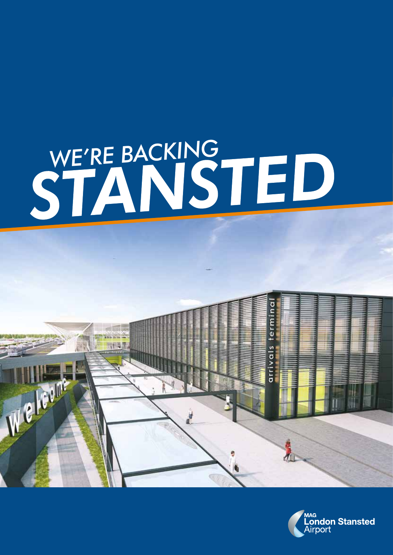# WE'RE BACKING<br>STANSTED



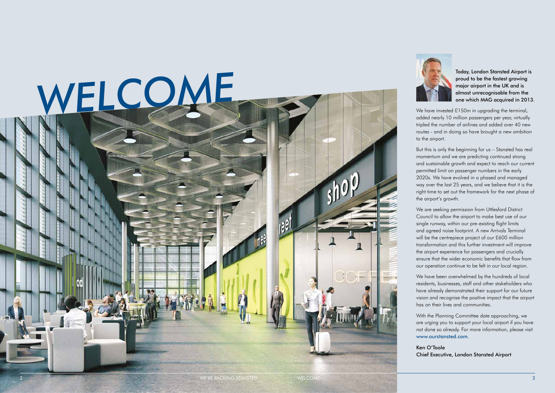

proud to be the fastest growing major airport in the UK and is almost unrecognisable from the one which MAG acquired in 2013.

We have invested £150m in upgrading the terminal, added nearly 10 million passengers per year, virtually tripled the number of airlines and added over 40 new routes - and in doing so have brought a new ambition to the airport.

But this is only the beginning for us – Stansted has real momentum and we are predicting continued strong and sustainable growth and expect to reach our current permitted limit on passenger numbers in the early 2020s. We have evolved in a phased and managed way over the last 25 years, and we believe that it is the right time to set out the framework for the next phase of the airport's growth.

We are seeking permission from Uttlesford District Council to allow the airport to make best use of our single runway, within our pre-existing flight limits and agreed noise footprint. A new Arrivals Terminal will be the centrepiece project of our £600 million transformation and this further investment will improve the airport experience for passengers and crucially ensure that the wider economic benefits that flow from our operation continue to be felt in our local region.

We have been overwhelmed by the hundreds of local residents, businesses, staff and other stakeholders who have already demonstrated their support for our future vision and recognise the positive impact that the airport has on their lives and communities.

With the Planning Committee date approaching, we are urging you to support your local airport if you have not done so already. For more information, please visit www.ourstansted.com.

Ken O'Toole Chief Executive, London Stansted Airport

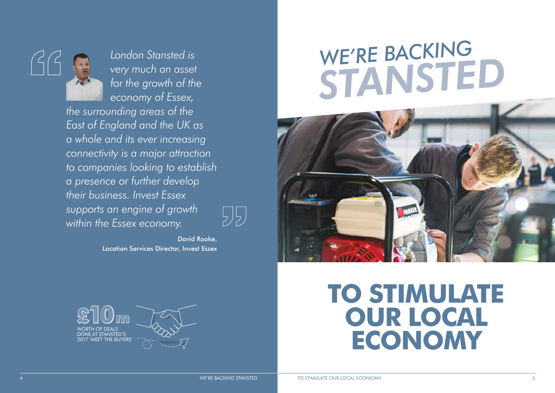**TO STIMULATE OUR LOCAL ECONOMY**

# *WE'RE BACKING STANSTED*





*London Stansted is very much an asset for the growth of the economy of Essex,* 

*the surrounding areas of the East of England and the UK as a whole and its ever increasing connectivity is a major attraction to companies looking to establish a presence or further develop their business. Invest Essex supports an engine of growth within the Essex economy.* 

J 5 ,

David Rooke, Location Services Director, Invest Essex

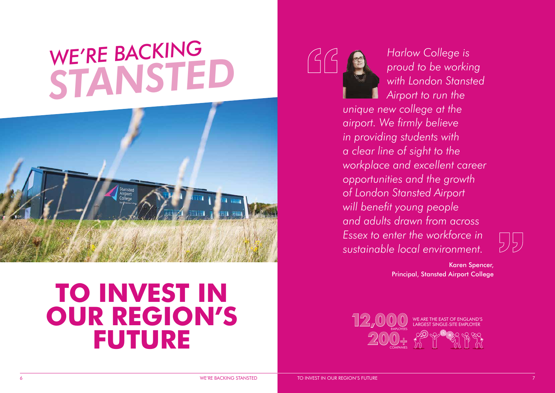### **TO INVEST IN OUR REGION'S FUTURE**



*Harlow College is proud to be working with London Stansted Airport to run the* 

*unique new college at the airport. We firmly believe in providing students with a clear line of sight to the workplace and excellent career opportunities and the growth of London Stansted Airport will benefit young people and adults drawn from across Essex to enter the workforce in sustainable local environment.* 

Karen Spencer, Principal, Stansted Airport College



## *WE'RE BACKING STANSTED*



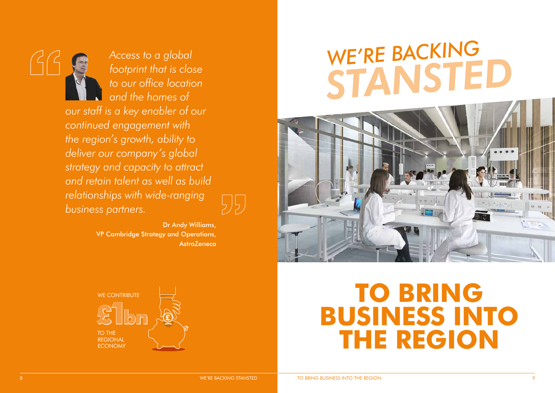*Access to a global footprint that is close to our office location and the homes of our staff is a key enabler of our continued engagement with the region's growth, ability to deliver our company's global strategy and capacity to attract and retain talent as well as build relationships with wide-ranging business partners.*

> Dr Andy Williams, VP Cambridge Strategy and Operations, **AstraZeneca**

> > **TO BRING BUSINESS INTO THE REGION**





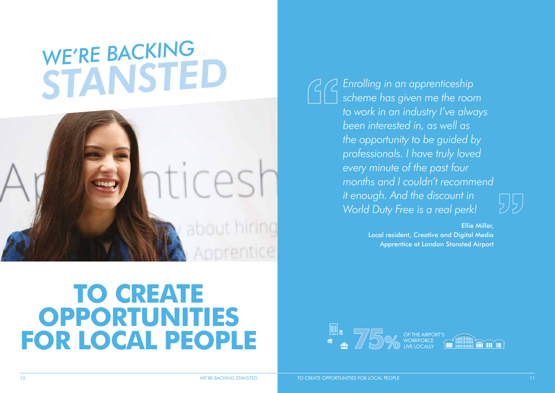### **TO CREATE OPPORTUNITIES FOR LOCAL PEOPLE**

# *WE'RE BACKING STANSTED Enrolling in an apprenticeship*



*scheme has given me the room to work in an industry I've always been interested in, as well as the opportunity to be guided by professionals. I have truly loved every minute of the past four months and I couldn't recommend it enough. And the discount in World Duty Free is a real perk!*

> Ellie Miller, Local resident, Creative and Digital Media Apprentice at London Stansted Airport



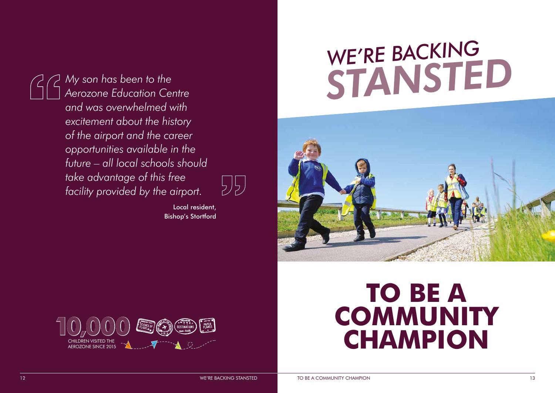### **TO BE A COMMUNITY CHAMPION**

# *WE'RE BACKING STANSTED*





*My son has been to the Aerozone Education Centre and was overwhelmed with excitement about the history of the airport and the career opportunities available in the future – all local schools should take advantage of this free facility provided by the airport.*



Local resident, Bishop's Stortford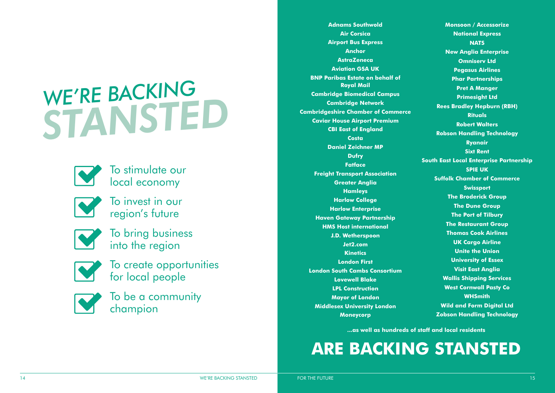**Adnams Southwold Air Corsica Airport Bus Express Anchor AstraZeneca Aviation GSA UK BNP Paribas Estate on behalf of Royal Mail Cambridge Biomedical Campus Cambridge Network Cambridgeshire Chamber of Commerce Caviar House Airport Premium CBI East of England Costa Daniel Zeichner MP Dufry Fatface Freight Transport Association Greater Anglia Hamleys Harlow College Harlow Enterprise Haven Gateway Partnership HMS Host international J.D. Wetherspoon Jet2.com Kinetics London First London South Cambs Consortium Lovewell Blake LPL Construction Mayor of London Middlesex University London Moneycorp**

**Monsoon / Accessorize National Express NATS New Anglia Enterprise Omniserv Ltd Pegasus Airlines Phar Partnerships Pret A Manger Primesight Ltd Rees Bradley Hepburn (RBH) Rituals Robert Walters Robson Handling Technology Ryanair Sixt Rent South East Local Enterprise Partnership SPIE UK Suffolk Chamber of Commerce Swissport The Broderick Group The Dune Group The Port of Tilbury The Restaurant Group Thomas Cook Airlines UK Cargo Airline Unite the Union University of Essex Visit East Anglia Wallis Shipping Services West Cornwall Pasty Co WHSmith Wild and Form Digital Ltd Zobson Handling Technology**

**...as well as hundreds of staff and local residents**



To stimulate our local economy



To invest in our region's future



To bring business into the region



To create opportunities for local people



To be a community champion

# *WE'RE BACKING STANSTED*